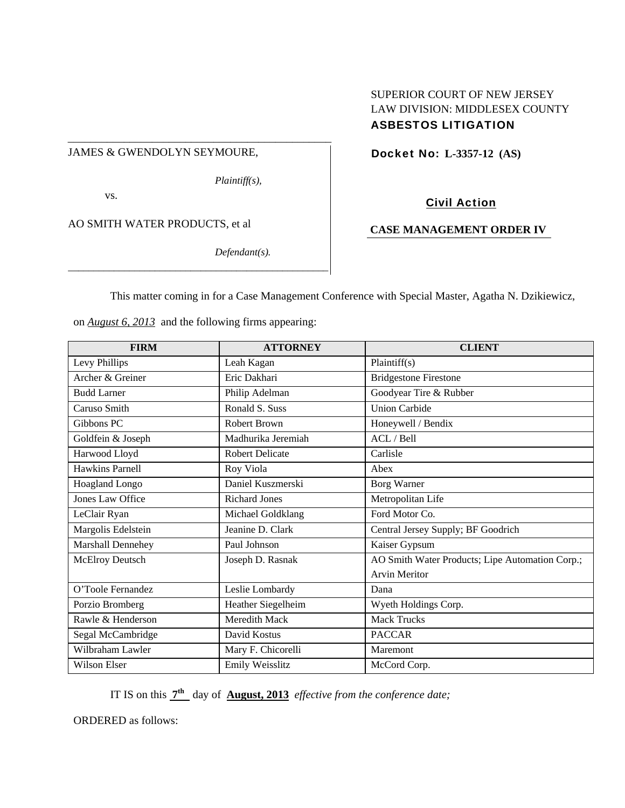### JAMES & GWENDOLYN SEYMOURE,

*Plaintiff(s),* 

\_\_\_\_\_\_\_\_\_\_\_\_\_\_\_\_\_\_\_\_\_\_\_\_\_\_\_\_\_\_\_\_\_\_\_\_\_\_\_\_\_\_\_\_\_\_\_

vs.

AO SMITH WATER PRODUCTS, et al

*Defendant(s).* 

# SUPERIOR COURT OF NEW JERSEY LAW DIVISION: MIDDLESEX COUNTY ASBESTOS LITIGATION

Docket No: **L-3357-12 (AS)** 

## Civil Action

## **CASE MANAGEMENT ORDER IV**

This matter coming in for a Case Management Conference with Special Master, Agatha N. Dzikiewicz,

on *August 6, 2013* and the following firms appearing:

*\_\_\_\_\_\_\_\_\_\_\_\_\_\_\_\_\_\_\_\_\_\_\_\_\_\_\_\_\_\_\_\_\_\_\_\_\_\_\_\_\_\_\_\_\_\_\_\_\_\_\_*

| <b>FIRM</b>             | <b>ATTORNEY</b>        | <b>CLIENT</b>                                   |
|-------------------------|------------------------|-------------------------------------------------|
| Levy Phillips           | Leah Kagan             | Plaintiff(s)                                    |
| Archer & Greiner        | Eric Dakhari           | <b>Bridgestone Firestone</b>                    |
| <b>Budd Larner</b>      | Philip Adelman         | Goodyear Tire & Rubber                          |
| Caruso Smith            | Ronald S. Suss         | <b>Union Carbide</b>                            |
| Gibbons PC              | Robert Brown           | Honeywell / Bendix                              |
| Goldfein & Joseph       | Madhurika Jeremiah     | ACL / Bell                                      |
| Harwood Lloyd           | <b>Robert Delicate</b> | Carlisle                                        |
| <b>Hawkins Parnell</b>  | Roy Viola              | Abex                                            |
| Hoagland Longo          | Daniel Kuszmerski      | <b>Borg Warner</b>                              |
| <b>Jones Law Office</b> | <b>Richard Jones</b>   | Metropolitan Life                               |
| LeClair Ryan            | Michael Goldklang      | Ford Motor Co.                                  |
| Margolis Edelstein      | Jeanine D. Clark       | Central Jersey Supply; BF Goodrich              |
| Marshall Dennehey       | Paul Johnson           | Kaiser Gypsum                                   |
| McElroy Deutsch         | Joseph D. Rasnak       | AO Smith Water Products; Lipe Automation Corp.; |
|                         |                        | <b>Arvin Meritor</b>                            |
| O'Toole Fernandez       | Leslie Lombardy        | Dana                                            |
| Porzio Bromberg         | Heather Siegelheim     | Wyeth Holdings Corp.                            |
| Rawle & Henderson       | Meredith Mack          | <b>Mack Trucks</b>                              |
| Segal McCambridge       | David Kostus           | <b>PACCAR</b>                                   |
| Wilbraham Lawler        | Mary F. Chicorelli     | Maremont                                        |
| <b>Wilson Elser</b>     | Emily Weisslitz        | McCord Corp.                                    |

IT IS on this **7th** day of **August, 2013** *effective from the conference date;*

ORDERED as follows: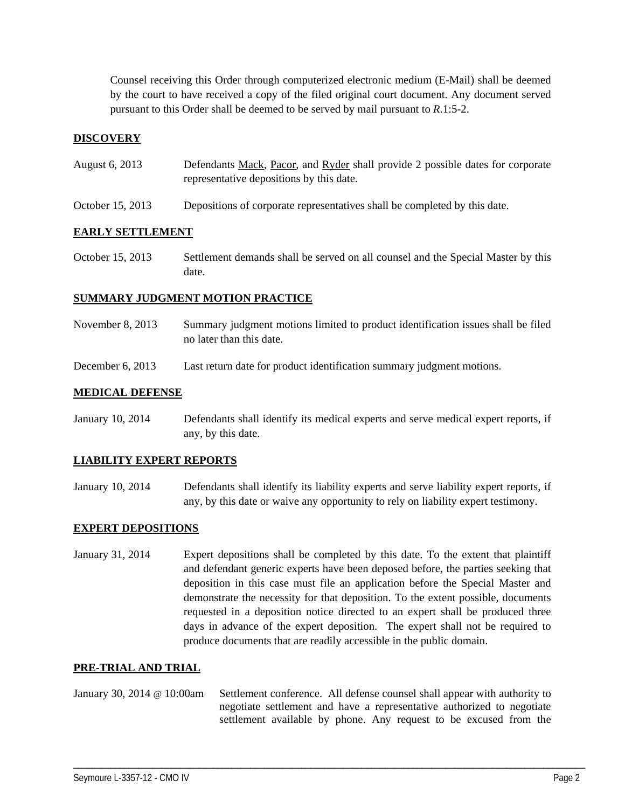Counsel receiving this Order through computerized electronic medium (E-Mail) shall be deemed by the court to have received a copy of the filed original court document. Any document served pursuant to this Order shall be deemed to be served by mail pursuant to *R*.1:5-2.

## **DISCOVERY**

- August 6, 2013 Defendants Mack, Pacor, and Ryder shall provide 2 possible dates for corporate representative depositions by this date.
- October 15, 2013 Depositions of corporate representatives shall be completed by this date.

## **EARLY SETTLEMENT**

October 15, 2013 Settlement demands shall be served on all counsel and the Special Master by this date.

### **SUMMARY JUDGMENT MOTION PRACTICE**

- November 8, 2013 Summary judgment motions limited to product identification issues shall be filed no later than this date.
- December 6, 2013 Last return date for product identification summary judgment motions.

### **MEDICAL DEFENSE**

January 10, 2014 Defendants shall identify its medical experts and serve medical expert reports, if any, by this date.

#### **LIABILITY EXPERT REPORTS**

January 10, 2014 Defendants shall identify its liability experts and serve liability expert reports, if any, by this date or waive any opportunity to rely on liability expert testimony.

#### **EXPERT DEPOSITIONS**

January 31, 2014 Expert depositions shall be completed by this date. To the extent that plaintiff and defendant generic experts have been deposed before, the parties seeking that deposition in this case must file an application before the Special Master and demonstrate the necessity for that deposition. To the extent possible, documents requested in a deposition notice directed to an expert shall be produced three days in advance of the expert deposition. The expert shall not be required to produce documents that are readily accessible in the public domain.

#### **PRE-TRIAL AND TRIAL**

January 30, 2014 @ 10:00am Settlement conference. All defense counsel shall appear with authority to negotiate settlement and have a representative authorized to negotiate settlement available by phone. Any request to be excused from the

\_\_\_\_\_\_\_\_\_\_\_\_\_\_\_\_\_\_\_\_\_\_\_\_\_\_\_\_\_\_\_\_\_\_\_\_\_\_\_\_\_\_\_\_\_\_\_\_\_\_\_\_\_\_\_\_\_\_\_\_\_\_\_\_\_\_\_\_\_\_\_\_\_\_\_\_\_\_\_\_\_\_\_\_\_\_\_\_\_\_\_\_\_\_\_\_\_\_\_\_\_\_\_\_\_\_\_\_\_\_